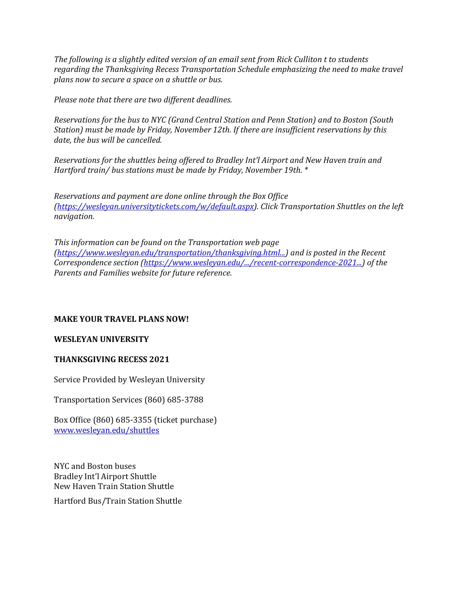*The following is a slightly edited version of an email sent from Rick Culliton t to students regarding the Thanksgiving Recess Transportation Schedule emphasizing the need to make travel plans now to secure a space on a shuttle or bus.*

*Please note that there are two different deadlines.*

*Reservations for the bus to NYC (Grand Central Station and Penn Station) and to Boston (South Station) must be made by Friday, November 12th. If there are insufficient reservations by this date, the bus will be cancelled.*

*Reservations for the shuttles being offered to Bradley Int'l Airport and New Haven train and Hartford train/ bus stations must be made by Friday, November 19th. \**

*Reservations and payment are done online through the Box Office [\(https://wesleyan.universitytickets.com/w/default.aspx\)](https://wesleyan.universitytickets.com/w/default.aspx?fbclid=IwAR2AWW8FozRJsyUCFhf4SiCzzoBke9k8Vn6FXc6ysBlL8Y0L5U9dsJpCEWo). Click Transportation Shuttles on the left navigation.*

*This information can be found on the Transportation web page [\(https://www.wesleyan.edu/transportation/thanksgiving.html...\)](https://www.wesleyan.edu/transportation/thanksgiving.html?fbclid=IwAR05h6bfsRnnZsXQtP51l5Mi_YBhQkoiO1BVAIvNLkG1u_PfFfm53iUVGf4#ny_bos) and is posted in the Recent Correspondence section [\(https://www.wesleyan.edu/.../recent-correspondence-2021...\)](https://l.facebook.com/l.php?u=https%3A%2F%2Fwww.wesleyan.edu%2Fparents%2Fconnected%2F2021-2022%2Frecent-correspondence-2021-2022.html%3Ffbclid%3DIwAR20q4uYpfBzNe423fU9RgBYScWHZpI8mH2Wkk1WKfk1qr3SFCVWgow7rdU&h=AT3lHfR6_q3I6BF9VG8kg-tsZN6yHNiE2xtrlcMn70wSIUghYs0C-nK6nvYq88ebFY92jwU-aSBzhEc8m7nvy8DMh2XjCCUCgW-pcXlTZgC1BG-od_FayRdV3zFPAJJfOgce&__tn__=-U-UK-R&c%5b0%5d=AT0gpmO4idPByP6-Yws6y19Sb9cw_QsBQIpVUOM2gcRSu_iGuEu1jAgWnjjRM7pFbsiIcooUP2zeUNmC84ZjWZbX53aEN0HWm2Thq3jSzJy10pY7f5TbwvSwK0P3k3rIEL3snrI7F5s-5uSuxIhis-94Cgvq) of the Parents and Families website for future reference.*

# **MAKE YOUR TRAVEL PLANS NOW!**

# **WESLEYAN UNIVERSITY**

### **THANKSGIVING RECESS 2021**

Service Provided by Wesleyan University

Transportation Services (860) 685-3788

Box Office (860) 685-3355 (ticket purchase) [www.wesleyan.edu/shuttles](https://l.facebook.com/l.php?u=http%3A%2F%2Fwww.wesleyan.edu%2Fshuttles%3Ffbclid%3DIwAR05h6bfsRnnZsXQtP51l5Mi_YBhQkoiO1BVAIvNLkG1u_PfFfm53iUVGf4&h=AT1LcAbhmc9Lh3hPa6uv9WZZrYabtnxK5HsepR4cy0K6uj4Xv6wN0c9ffoOapk4BY-gN2cAHy2LprwMRw0dY22ODvuEemOrnwzz-TLfV2D0ALhyahcWqUOanetlO0Mm_Wuba&__tn__=-UK-R&c%5b0%5d=AT0gpmO4idPByP6-Yws6y19Sb9cw_QsBQIpVUOM2gcRSu_iGuEu1jAgWnjjRM7pFbsiIcooUP2zeUNmC84ZjWZbX53aEN0HWm2Thq3jSzJy10pY7f5TbwvSwK0P3k3rIEL3snrI7F5s-5uSuxIhis-94Cgvq)

NYC and Boston buses Bradley Int'l Airport Shuttle New Haven Train Station Shuttle Hartford Bus/Train Station Shuttle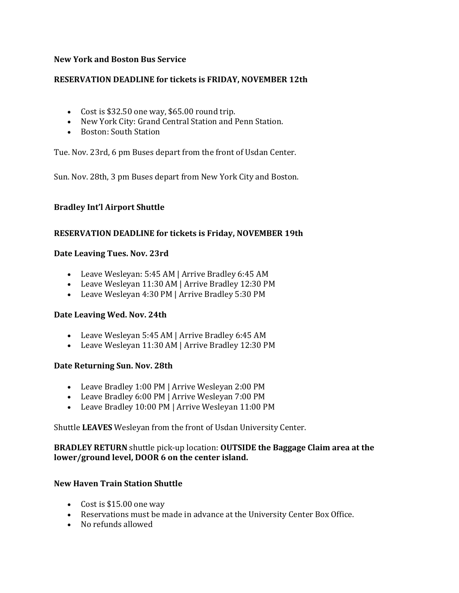## **New York and Boston Bus Service**

## **RESERVATION DEADLINE for tickets is FRIDAY, NOVEMBER 12th**

- Cost is \$32.50 one way, \$65.00 round trip.
- New York City: Grand Central Station and Penn Station.
- Boston: South Station

Tue. Nov. 23rd, 6 pm Buses depart from the front of Usdan Center.

Sun. Nov. 28th, 3 pm Buses depart from New York City and Boston.

## **Bradley Int'l Airport Shuttle**

### **RESERVATION DEADLINE for tickets is Friday, NOVEMBER 19th**

#### **Date Leaving Tues. Nov. 23rd**

- Leave Wesleyan: 5:45 AM | Arrive Bradley 6:45 AM
- Leave Wesleyan 11:30 AM | Arrive Bradley 12:30 PM
- Leave Wesleyan 4:30 PM | Arrive Bradley 5:30 PM

### **Date Leaving Wed. Nov. 24th**

- Leave Wesleyan 5:45 AM | Arrive Bradley 6:45 AM
- Leave Wesleyan 11:30 AM | Arrive Bradley 12:30 PM

### **Date Returning Sun. Nov. 28th**

- Leave Bradley 1:00 PM | Arrive Wesleyan 2:00 PM
- Leave Bradley 6:00 PM | Arrive Wesleyan 7:00 PM
- Leave Bradley 10:00 PM | Arrive Wesleyan 11:00 PM

Shuttle **LEAVES** Wesleyan from the front of Usdan University Center.

## **BRADLEY RETURN** shuttle pick-up location: **OUTSIDE the Baggage Claim area at the lower/ground level, DOOR 6 on the center island.**

### **New Haven Train Station Shuttle**

- Cost is \$15.00 one way
- Reservations must be made in advance at the University Center Box Office.
- No refunds allowed